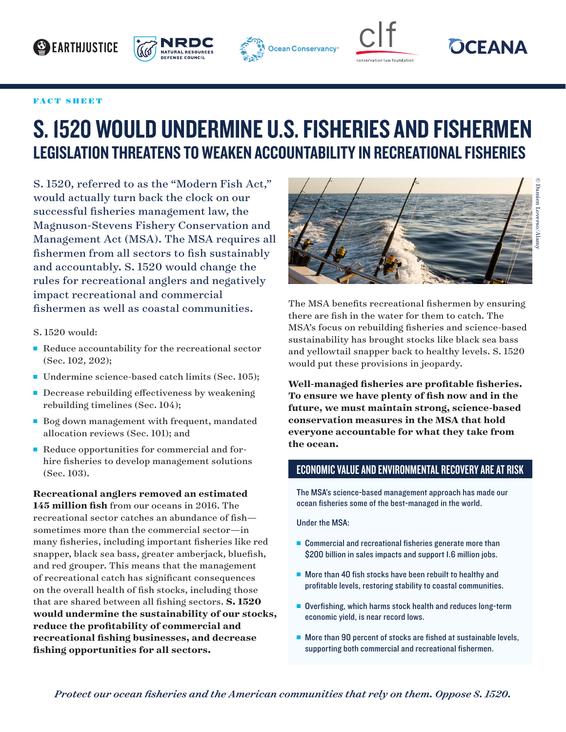## **BEARTHJUSTICE**









© Damien Loverso/Alamy

 $\beta$  Damien Loverso/Alan

## FACT SHEET

## S. 1520 WOULD UNDERMINE U.S. FISHERIES AND FISHERMEN LEGISLATION THREATENS TO WEAKEN ACCOUNTABILITY IN RECREATIONAL FISHERIES

S. 1520, referred to as the "Modern Fish Act," would actually turn back the clock on our successful fisheries management law, the Magnuson-Stevens Fishery Conservation and Management Act (MSA). The MSA requires all fishermen from all sectors to fish sustainably and accountably. S. 1520 would change the rules for recreational anglers and negatively impact recreational and commercial fishermen as well as coastal communities.

S. 1520 would:

- $\blacksquare$  Reduce accountability for the recreational sector (Sec. 102, 202);
- Undermine science-based catch limits (Sec. 105);
- $\blacksquare$  Decrease rebuilding effectiveness by weakening rebuilding timelines (Sec. 104);
- Bog down management with frequent, mandated allocation reviews (Sec. 101); and
- Reduce opportunities for commercial and forhire fisheries to develop management solutions (Sec. 103).

**Recreational anglers removed an estimated 145 million fish** from our oceans in 2016. The recreational sector catches an abundance of fish sometimes more than the commercial sector—in many fisheries, including important fisheries like red snapper, black sea bass, greater amberjack, bluefish, and red grouper. This means that the management of recreational catch has significant consequences on the overall health of fish stocks, including those that are shared between all fishing sectors. **S. 1520 would undermine the sustainability of our stocks, reduce the profitability of commercial and recreational fishing businesses, and decrease fishing opportunities for all sectors.** 



The MSA benefits recreational fishermen by ensuring there are fish in the water for them to catch. The MSA's focus on rebuilding fisheries and science-based

sustainability has brought stocks like black sea bass and yellowtail snapper back to healthy levels. S. 1520 would put these provisions in jeopardy. **Well-managed fisheries are profitable fisheries.** 

**To ensure we have plenty of fish now and in the future, we must maintain strong, science-based conservation measures in the MSA that hold everyone accountable for what they take from the ocean.**

## ECONOMIC VALUE AND ENVIRONMENTAL RECOVERY ARE AT RISK

The MSA's science-based management approach has made our ocean fisheries some of the best-managed in the world.

Under the MSA:

- $\blacksquare$  Commercial and recreational fisheries generate more than \$200 billion in sales impacts and support 1.6 million jobs.
- $\blacksquare$  More than 40 fish stocks have been rebuilt to healthy and profitable levels, restoring stability to coastal communities.
- $\blacksquare$  Overfishing, which harms stock health and reduces long-term economic yield, is near record lows.
- $\blacksquare$  More than 90 percent of stocks are fished at sustainable levels, supporting both commercial and recreational fishermen.

*Protect our ocean fisheries and the American communities that rely on them. Oppose S. 1520.*